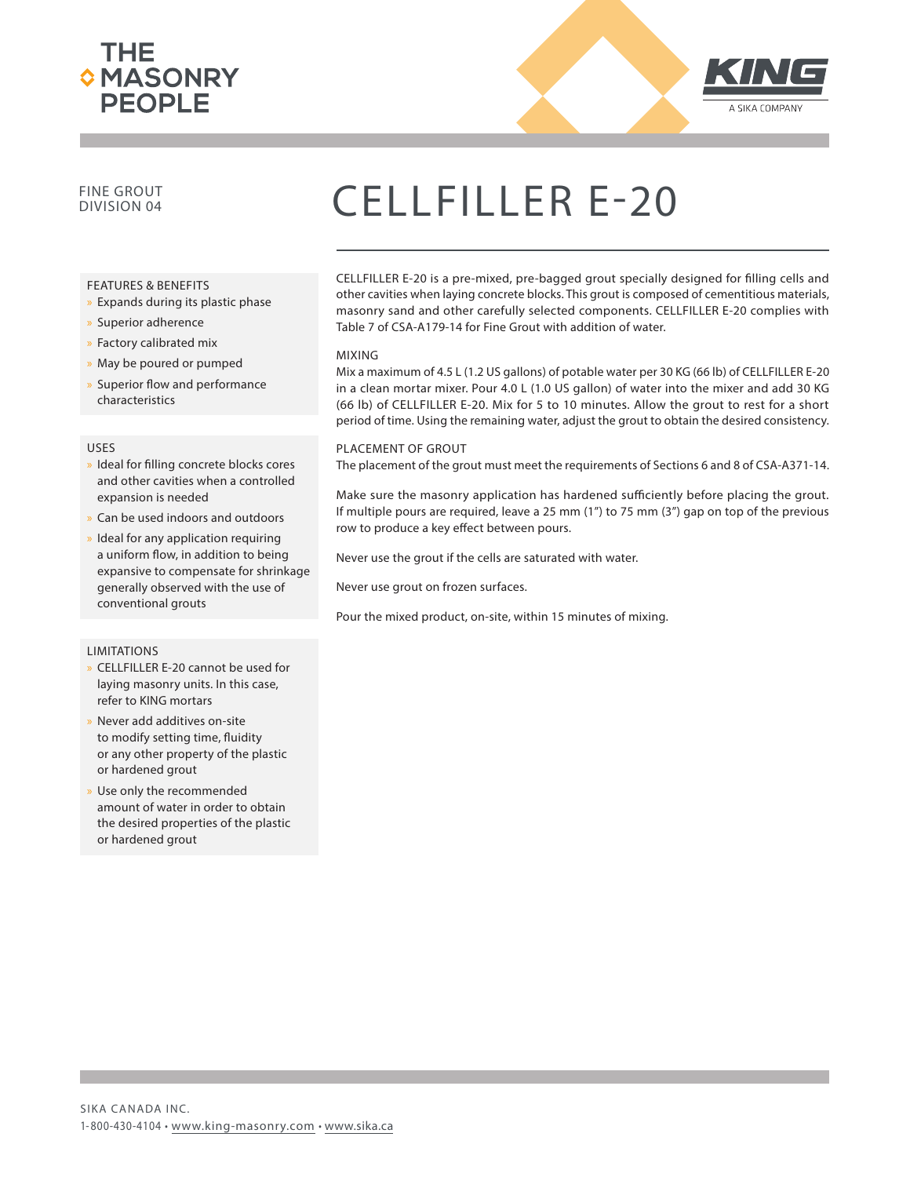



### FINE GROUT

#### FEATURES & BENEFITS

- » Expands during its plastic phase
- x Superior adherence
- x Factory calibrated mix
- » May be poured or pumped
- » Superior flow and performance characteristics

#### USES

- » Ideal for filling concrete blocks cores and other cavities when a controlled expansion is needed
- Can be used indoors and outdoors
- Ideal for any application requiring a uniform flow, in addition to being expansive to compensate for shrinkage generally observed with the use of conventional grouts

#### LIMITATIONS

- » CELLFILLER E-20 cannot be used for laying masonry units. In this case, refer to KING mortars
- Never add additives on-site to modify setting time, fluidity or any other property of the plastic or hardened grout
- Use only the recommended amount of water in order to obtain the desired properties of the plastic or hardened grout

## CELLFILLER E-20

CELLFILLER E-20 is a pre-mixed, pre-bagged grout specially designed for filling cells and other cavities when laying concrete blocks. This grout is composed of cementitious materials, masonry sand and other carefully selected components. CELLFILLER E-20 complies with Table 7 of CSA-A179-14 for Fine Grout with addition of water.

#### MIXING

Mix a maximum of 4.5 L (1.2 US gallons) of potable water per 30 KG (66 lb) of CELLFILLER E-20 in a clean mortar mixer. Pour 4.0 L (1.0 US gallon) of water into the mixer and add 30 KG (66 lb) of CELLFILLER E-20. Mix for 5 to 10 minutes. Allow the grout to rest for a short period of time. Using the remaining water, adjust the grout to obtain the desired consistency.

#### PLACEMENT OF GROUT

The placement of the grout must meet the requirements of Sections 6 and 8 of CSA-A371-14.

Make sure the masonry application has hardened sufficiently before placing the grout. If multiple pours are required, leave a 25 mm (1") to 75 mm (3") gap on top of the previous row to produce a key effect between pours.

Never use the grout if the cells are saturated with water.

Never use grout on frozen surfaces.

Pour the mixed product, on-site, within 15 minutes of mixing.